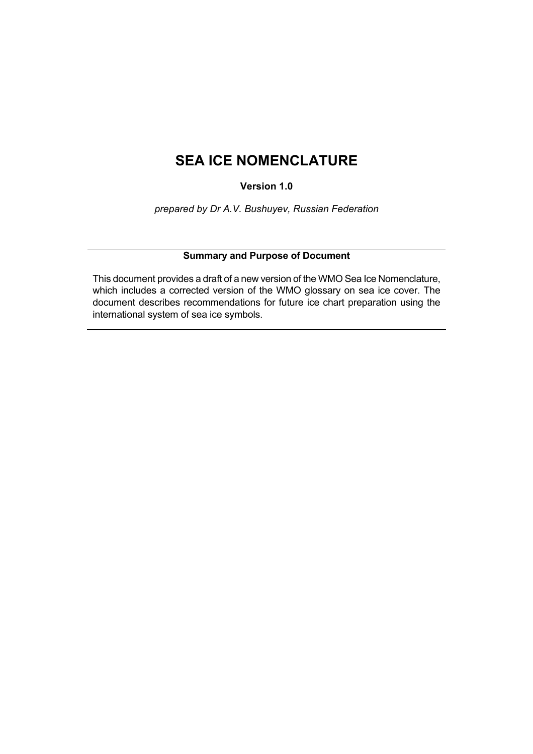# <span id="page-0-0"></span>**SEA ICE NOMENCLATURE**

**Version 1.0** 

*prepared by Dr A.V. Bushuyev, Russian Federation* 

# **Summary and Purpose of Document**

This document provides a draft of a new version of the WMO Sea Ice Nomenclature, which includes a corrected version of the WMO glossary on sea ice cover. The document describes recommendations for future ice chart preparation using the international system of sea ice symbols.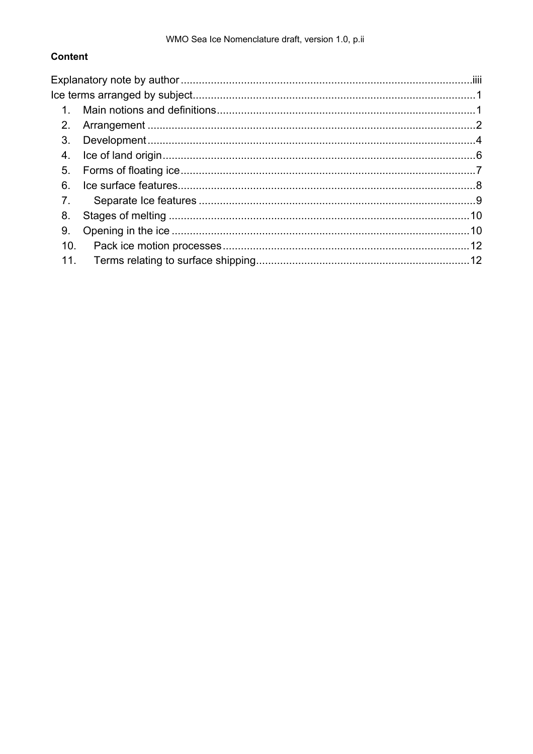# **Content**

| 1.  |  |  |
|-----|--|--|
| 2.  |  |  |
| 3.  |  |  |
| 4.  |  |  |
| 5.  |  |  |
| 6.  |  |  |
| 7.  |  |  |
| 8.  |  |  |
| 9.  |  |  |
| 10. |  |  |
| 11. |  |  |
|     |  |  |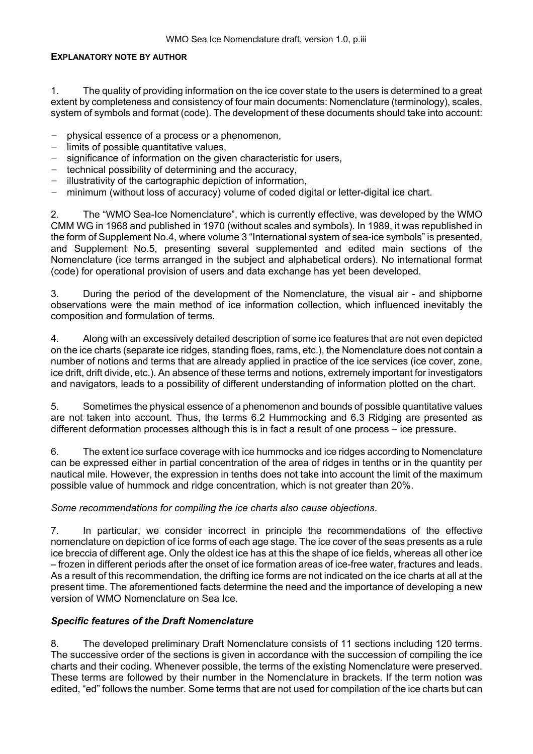### <span id="page-2-0"></span>**EXPLANATORY NOTE BY AUTHOR**

1. The quality of providing information on the ice cover state to the users is determined to a great extent by completeness and consistency of four main documents: Nomenclature (terminology), scales, system of symbols and format (code). The development of these documents should take into account:

- − physical essence of a process or a phenomenon,
- − limits of possible quantitative values,
- − significance of information on the given characteristic for users,
- − technical possibility of determining and the accuracy,
- − illustrativity of the cartographic depiction of information,
- − minimum (without loss of accuracy) volume of coded digital or letter-digital ice chart.

2. The "WMO Sea-Ice Nomenclature", which is currently effective, was developed by the WMO CMM WG in 1968 and published in 1970 (without scales and symbols). In 1989, it was republished in the form of Supplement No.4, where volume 3 "International system of sea-ice symbols" is presented, and Supplement No.5, presenting several supplemented and edited main sections of the Nomenclature (ice terms arranged in the subject and alphabetical orders). No international format (code) for operational provision of users and data exchange has yet been developed.

3. During the period of the development of the Nomenclature, the visual air - and shipborne observations were the main method of ice information collection, which influenced inevitably the composition and formulation of terms.

4. Along with an excessively detailed description of some ice features that are not even depicted on the ice charts (separate ice ridges, standing floes, rams, etc.), the Nomenclature does not contain a number of notions and terms that are already applied in practice of the ice services (ice cover, zone, ice drift, drift divide, etc.). An absence of these terms and notions, extremely important for investigators and navigators, leads to a possibility of different understanding of information plotted on the chart.

5. Sometimes the physical essence of a phenomenon and bounds of possible quantitative values are not taken into account. Thus, the terms 6.2 Hummocking and 6.3 Ridging are presented as different deformation processes although this is in fact a result of one process  $-$  ice pressure.

6. The extent ice surface coverage with ice hummocks and ice ridges according to Nomenclature can be expressed either in partial concentration of the area of ridges in tenths or in the quantity per nautical mile. However, the expression in tenths does not take into account the limit of the maximum possible value of hummock and ridge concentration, which is not greater than 20%.

### *Some recommendations for compiling the ice charts also cause objections*.

7. In particular, we consider incorrect in principle the recommendations of the effective nomenclature on depiction of ice forms of each age stage. The ice cover of the seas presents as a rule ice breccia of different age. Only the oldest ice has at this the shape of ice fields, whereas all other ice  $-$  frozen in different periods after the onset of ice formation areas of ice-free water, fractures and leads. As a result of this recommendation, the drifting ice forms are not indicated on the ice charts at all at the present time. The aforementioned facts determine the need and the importance of developing a new version of WMO Nomenclature on Sea Ice.

# *Specific features of the Draft Nomenclature*

8. The developed preliminary Draft Nomenclature consists of 11 sections including 120 terms. The successive order of the sections is given in accordance with the succession of compiling the ice charts and their coding. Whenever possible, the terms of the existing Nomenclature were preserved. These terms are followed by their number in the Nomenclature in brackets. If the term notion was edited, "ed" follows the number. Some terms that are not used for compilation of the ice charts but can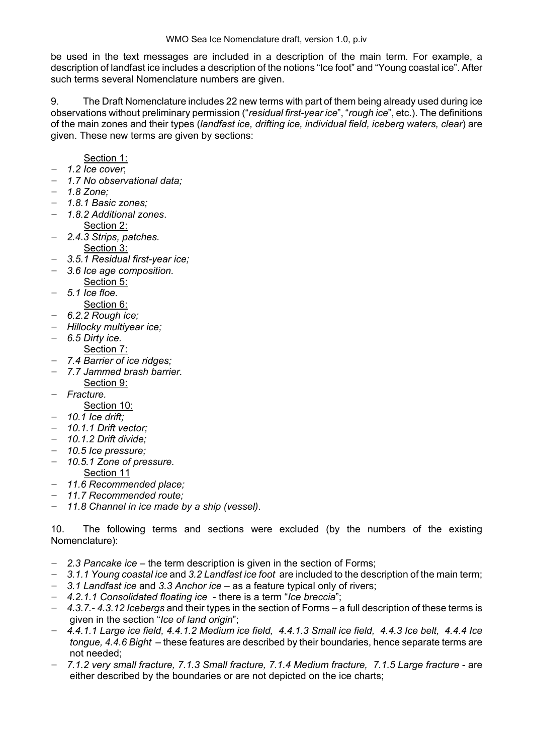be used in the text messages are included in a description of the main term. For example, a description of landfast ice includes a description of the notions "Ice foot" and "Young coastal ice". After such terms several Nomenclature numbers are given.

9. The Draft Nomenclature includes 22 new terms with part of them being already used during ice observations without preliminary permission ("*residual first-year ice*", "*rough ice*", etc.). The definitions of the main zones and their types (*landfast ice, drifting ice, individual field, iceberg waters, clear*) are given. These new terms are given by sections:

# Section 1:

− *1.2 Ice cover*;

- − *1.7 No observational data;*
- − *1.8 Zone;*
- − *1.8.1 Basic zones;*
- − *1.8.2 Additional zones*.
	- Section 2:
- − *2.4.3 Strips, patches.*  Section 3:
- − *3.5.1 Residual first-year ice;*
- − *3.6 Ice age composition.*
	- Section 5:
- − *5.1 Ice floe.* 
	- Section 6:
- − *6.2.2 Rough ice;*
- − *Hillocky multiyear ice;*
- − *6.5 Dirty ice.* 
	- Section 7:
- − *7.4 Barrier of ice ridges;*
- − *7.7 Jammed brash barrier.*
- Section 9: − *Fracture.*
- - Section 10:
- − *10.1 Ice drift;*
- − *10.1.1 Drift vector;*
- − *10.1.2 Drift divide;*
- − *10.5 Ice pressure;*
- − *10.5.1 Zone of pressure.*  Section 11
- − *11.6 Recommended place;*
- − *11.7 Recommended route;*
- − *11.8 Channel in ice made by a ship (vessel)*.

10. The following terms and sections were excluded (by the numbers of the existing Nomenclature):

- − 2.3 Pancake ice the term description is given in the section of Forms;
- − *3.1.1 Young coastal ice* and *3.2 Landfast ice foot* are included to the description of the main term;
- − *3.1 Landfast ice* and *3.3 Anchor ice* ñ as a feature typical only of rivers;
- − *4.2.1.1 Consolidated floating ice* there is a term ì*Ice breccia*î;
- $-4.3.7.$ -4.3.12 *Icebergs* and their types in the section of Forms a full description of these terms is given in the section "*Ice of land origin*";
- − *4.4.1.1 Large ice field, 4.4.1.2 Medium ice field, 4.4.1.3 Small ice field, 4.4.3 Ice belt, 4.4.4 Ice tongue, 4.4.6 Bight* – these features are described by their boundaries, hence separate terms are not needed;
- − *7.1.2 very small fracture, 7.1.3 Small fracture, 7.1.4 Medium fracture, 7.1.5 Large fracture* are either described by the boundaries or are not depicted on the ice charts;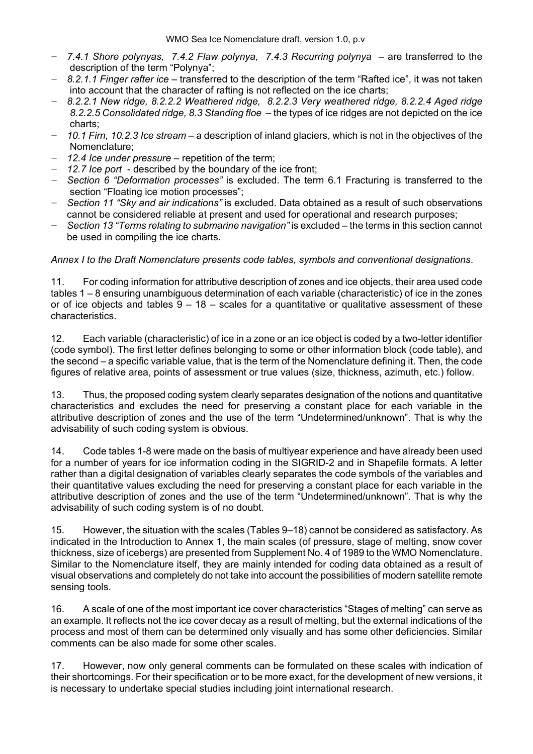- $-$  7.4.1 Shore polynyas, 7.4.2 Flaw polynya, 7.4.3 Recurring polynya are transferred to the description of the term "Polynya":
- *8.2.1.1 Finger rafter ice* − transferred to the description of the term "Rafted ice", it was not taken into account that the character of rafting is not reflected on the ice charts;
- − *8.2.2.1 New ridge, 8.2.2.2 Weathered ridge, 8.2.2.3 Very weathered ridge, 8.2.2.4 Aged ridge*  8.2.2.5 Consolidated ridge, 8.3 Standing floe – the types of ice ridges are not depicted on the ice charts;
- − 10.1 Firn, 10.2.3 Ice stream a description of inland glaciers, which is not in the objectives of the Nomenclature;
- − 12.4 Ice under pressure repetition of the term;
- − *12.7 Ice port*  described by the boundary of the ice front;
- − *Section 6 ìDeformation processesî* is excluded. The term 6.1 Fracturing is transferred to the section "Floating ice motion processes":
- − *Section 11 ìSky and air indicationsî* is excluded. Data obtained as a result of such observations cannot be considered reliable at present and used for operational and research purposes;
- − *Section 13 "Terms relating to submarine navigation"* is excluded the terms in this section cannot be used in compiling the ice charts.

### *Annex I to the Draft Nomenclature presents code tables, symbols and conventional designations*.

11. For coding information for attributive description of zones and ice objects, their area used code tables  $1 - 8$  ensuring unambiguous determination of each variable (characteristic) of ice in the zones or of ice objects and tables  $9 - 18$  – scales for a quantitative or qualitative assessment of these characteristics.

12. Each variable (characteristic) of ice in a zone or an ice object is coded by a two-letter identifier (code symbol). The first letter defines belonging to some or other information block (code table), and the second – a specific variable value, that is the term of the Nomenclature defining it. Then, the code figures of relative area, points of assessment or true values (size, thickness, azimuth, etc.) follow.

13. Thus, the proposed coding system clearly separates designation of the notions and quantitative characteristics and excludes the need for preserving a constant place for each variable in the attributive description of zones and the use of the term "Undetermined/unknown". That is why the advisability of such coding system is obvious.

14. Code tables 1-8 were made on the basis of multiyear experience and have already been used for a number of years for ice information coding in the SIGRID-2 and in Shapefile formats. A letter rather than a digital designation of variables clearly separates the code symbols of the variables and their quantitative values excluding the need for preserving a constant place for each variable in the attributive description of zones and the use of the term "Undetermined/unknown". That is why the advisability of such coding system is of no doubt.

15. However, the situation with the scales (Tables 9–18) cannot be considered as satisfactory. As indicated in the Introduction to Annex 1, the main scales (of pressure, stage of melting, snow cover thickness, size of icebergs) are presented from Supplement No. 4 of 1989 to the WMO Nomenclature. Similar to the Nomenclature itself, they are mainly intended for coding data obtained as a result of visual observations and completely do not take into account the possibilities of modern satellite remote sensing tools.

16. A scale of one of the most important ice cover characteristics "Stages of melting" can serve as an example. It reflects not the ice cover decay as a result of melting, but the external indications of the process and most of them can be determined only visually and has some other deficiencies. Similar comments can be also made for some other scales.

17. However, now only general comments can be formulated on these scales with indication of their shortcomings. For their specification or to be more exact, for the development of new versions, it is necessary to undertake special studies including joint international research.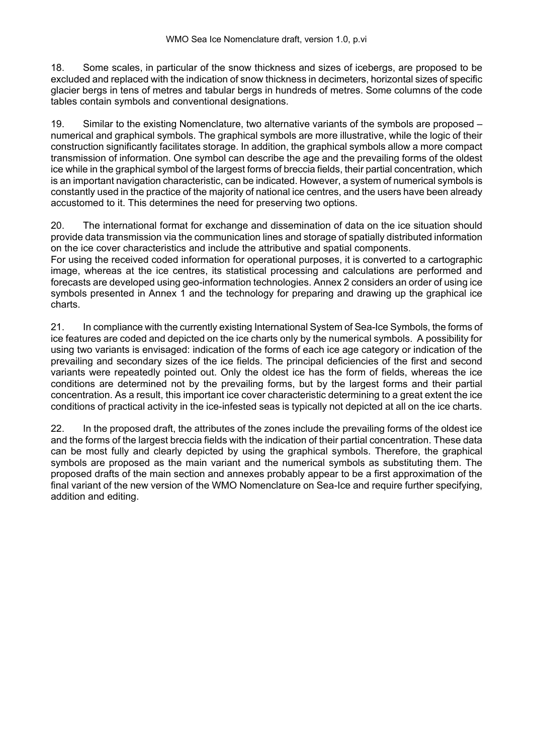18. Some scales, in particular of the snow thickness and sizes of icebergs, are proposed to be excluded and replaced with the indication of snow thickness in decimeters, horizontal sizes of specific glacier bergs in tens of metres and tabular bergs in hundreds of metres. Some columns of the code tables contain symbols and conventional designations.

19. Similar to the existing Nomenclature, two alternative variants of the symbols are proposed – numerical and graphical symbols. The graphical symbols are more illustrative, while the logic of their construction significantly facilitates storage. In addition, the graphical symbols allow a more compact transmission of information. One symbol can describe the age and the prevailing forms of the oldest ice while in the graphical symbol of the largest forms of breccia fields, their partial concentration, which is an important navigation characteristic, can be indicated. However, a system of numerical symbols is constantly used in the practice of the majority of national ice centres, and the users have been already accustomed to it. This determines the need for preserving two options.

20. The international format for exchange and dissemination of data on the ice situation should provide data transmission via the communication lines and storage of spatially distributed information on the ice cover characteristics and include the attributive and spatial components.

For using the received coded information for operational purposes, it is converted to a cartographic image, whereas at the ice centres, its statistical processing and calculations are performed and forecasts are developed using geo-information technologies. Annex 2 considers an order of using ice symbols presented in Annex 1 and the technology for preparing and drawing up the graphical ice charts.

21. In compliance with the currently existing International System of Sea-Ice Symbols, the forms of ice features are coded and depicted on the ice charts only by the numerical symbols. A possibility for using two variants is envisaged: indication of the forms of each ice age category or indication of the prevailing and secondary sizes of the ice fields. The principal deficiencies of the first and second variants were repeatedly pointed out. Only the oldest ice has the form of fields, whereas the ice conditions are determined not by the prevailing forms, but by the largest forms and their partial concentration. As a result, this important ice cover characteristic determining to a great extent the ice conditions of practical activity in the ice-infested seas is typically not depicted at all on the ice charts.

22. In the proposed draft, the attributes of the zones include the prevailing forms of the oldest ice and the forms of the largest breccia fields with the indication of their partial concentration. These data can be most fully and clearly depicted by using the graphical symbols. Therefore, the graphical symbols are proposed as the main variant and the numerical symbols as substituting them. The proposed drafts of the main section and annexes probably appear to be a first approximation of the final variant of the new version of the WMO Nomenclature on Sea-Ice and require further specifying, addition and editing.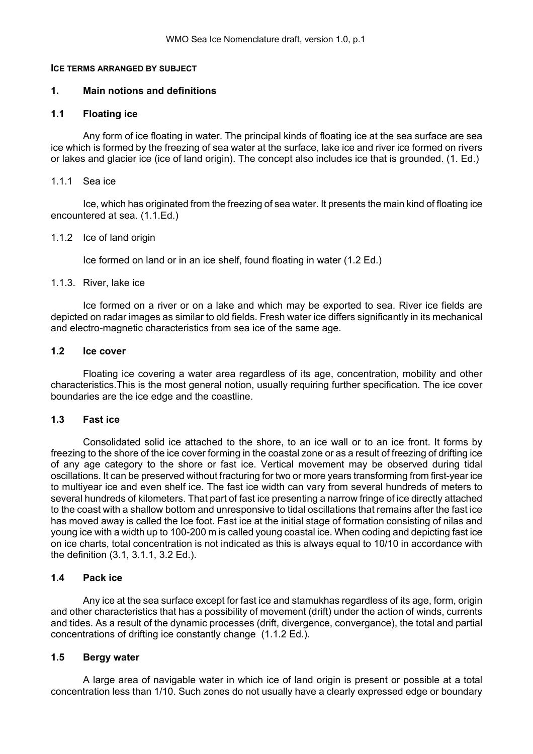#### <span id="page-6-0"></span>**ICE TERMS ARRANGED BY SUBJECT**

#### **1. Main notions and definitions**

### **1.1 Floating ice**

Any form of ice floating in water. The principal kinds of floating ice at the sea surface are sea ice which is formed by the freezing of sea water at the surface, lake ice and river ice formed on rivers or lakes and glacier ice (ice of land origin). The concept also includes ice that is grounded. (1. Ed.)

#### 1.1.1 Sea ice

Ice, which has originated from the freezing of sea water. It presents the main kind of floating ice encountered at sea. (1.1.Ed.)

#### 1.1.2 Ice of land origin

Ice formed on land or in an ice shelf, found floating in water (1.2 Ed.)

#### 1.1.3. River, lake ice

Ice formed on a river or on a lake and which may be exported to sea. River ice fields are depicted on radar images as similar to old fields. Fresh water ice differs significantly in its mechanical and electro-magnetic characteristics from sea ice of the same age.

#### **1.2 Ice cover**

Floating ice covering a water area regardless of its age, concentration, mobility and other characteristics.This is the most general notion, usually requiring further specification. The ice cover boundaries are the ice edge and the coastline.

#### **1.3 Fast ice**

Consolidated solid ice attached to the shore, to an ice wall or to an ice front. It forms by freezing to the shore of the ice cover forming in the coastal zone or as a result of freezing of drifting ice of any age category to the shore or fast ice. Vertical movement may be observed during tidal oscillations. It can be preserved without fracturing for two or more years transforming from first-year ice to multiyear ice and even shelf ice. The fast ice width can vary from several hundreds of meters to several hundreds of kilometers. That part of fast ice presenting a narrow fringe of ice directly attached to the coast with a shallow bottom and unresponsive to tidal oscillations that remains after the fast ice has moved away is called the Ice foot. Fast ice at the initial stage of formation consisting of nilas and young ice with a width up to 100-200 m is called young coastal ice. When coding and depicting fast ice on ice charts, total concentration is not indicated as this is always equal to 10/10 in accordance with the definition (3.1, 3.1.1, 3.2 Ed.).

### **1.4 Pack ice**

Any ice at the sea surface except for fast ice and stamukhas regardless of its age, form, origin and other characteristics that has a possibility of movement (drift) under the action of winds, currents and tides. As a result of the dynamic processes (drift, divergence, convergance), the total and partial concentrations of drifting ice constantly change (1.1.2 Ed.).

### **1.5 Bergy water**

A large area of navigable water in which ice of land origin is present or possible at a total concentration less than 1/10. Such zones do not usually have a clearly expressed edge or boundary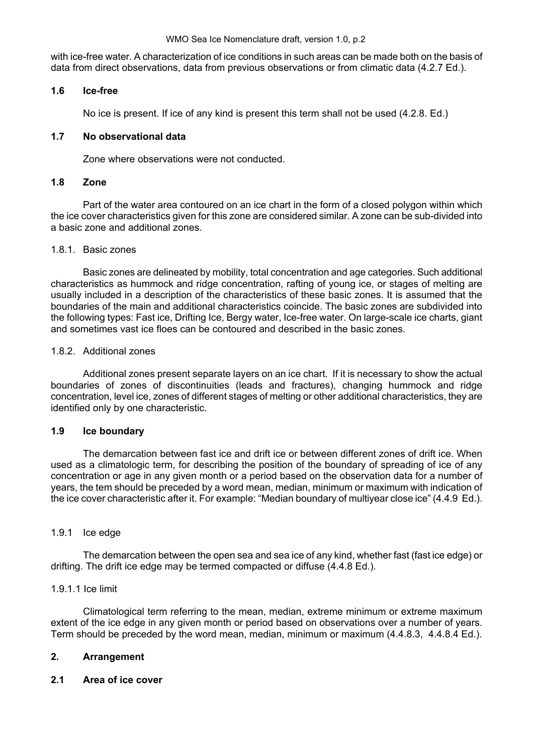<span id="page-7-0"></span>with ice-free water. A characterization of ice conditions in such areas can be made both on the basis of data from direct observations, data from previous observations or from climatic data (4.2.7 Ed.).

# **1.6 Ice-free**

No ice is present. If ice of any kind is present this term shall not be used (4.2.8. Ed.)

# **1.7 No observational data**

Zone where observations were not conducted.

# **1.8 Zone**

Part of the water area contoured on an ice chart in the form of a closed polygon within which the ice cover characteristics given for this zone are considered similar. A zone can be sub-divided into a basic zone and additional zones.

### 1.8.1. Basic zones

Basic zones are delineated by mobility, total concentration and age categories. Such additional characteristics as hummock and ridge concentration, rafting of young ice, or stages of melting are usually included in a description of the characteristics of these basic zones. It is assumed that the boundaries of the main and additional characteristics coincide. The basic zones are subdivided into the following types: Fast ice, Drifting Ice, Bergy water, Ice-free water. On large-scale ice charts, giant and sometimes vast ice floes can be contoured and described in the basic zones.

# 1.8.2. Additional zones

Additional zones present separate layers on an ice chart. If it is necessary to show the actual boundaries of zones of discontinuities (leads and fractures), changing hummock and ridge concentration, level ice, zones of different stages of melting or other additional characteristics, they are identified only by one characteristic.

# **1.9 Ice boundary**

The demarcation between fast ice and drift ice or between different zones of drift ice. When used as a climatologic term, for describing the position of the boundary of spreading of ice of any concentration or age in any given month or a period based on the observation data for a number of years, the tem should be preceded by a word mean, median, minimum or maximum with indication of the ice cover characteristic after it. For example: "Median boundary of multiyear close ice" (4.4.9 Ed.).

### 1.9.1 Ice edge

The demarcation between the open sea and sea ice of any kind, whether fast (fast ice edge) or drifting. The drift ice edge may be termed compacted or diffuse (4.4.8 Ed.).

### 1.9.1.1 Ice limit

Climatological term referring to the mean, median, extreme minimum or extreme maximum extent of the ice edge in any given month or period based on observations over a number of years. Term should be preceded by the word mean, median, minimum or maximum (4.4.8.3, 4.4.8.4 Ed.).

# **2. Arrangement**

### **2.1 Area of ice cover**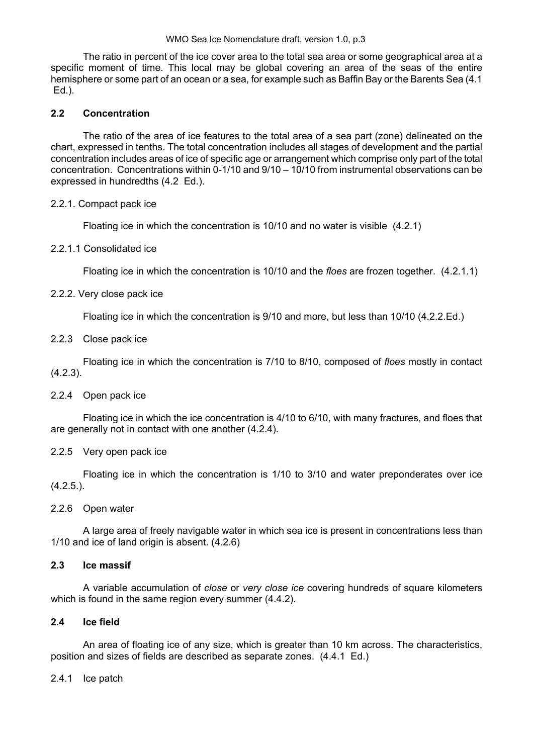The ratio in percent of the ice cover area to the total sea area or some geographical area at a specific moment of time. This local may be global covering an area of the seas of the entire hemisphere or some part of an ocean or a sea, for example such as Baffin Bay or the Barents Sea (4.1 Ed.).

# **2.2 Concentration**

The ratio of the area of ice features to the total area of a sea part (zone) delineated on the chart, expressed in tenths. The total concentration includes all stages of development and the partial concentration includes areas of ice of specific age or arrangement which comprise only part of the total concentration. Concentrations within  $0-1/10$  and  $9/10 - 10/10$  from instrumental observations can be expressed in hundredths (4.2 Ed.).

### 2.2.1. Compact pack ice

Floating ice in which the concentration is 10/10 and no water is visible (4.2.1)

# 2.2.1.1 Consolidated ice

Floating ice in which the concentration is 10/10 and the *floes* are frozen together. (4.2.1.1)

# 2.2.2. Very close pack ice

Floating ice in which the concentration is 9/10 and more, but less than 10/10 (4.2.2.Ed.)

# 2.2.3 Close pack ice

Floating ice in which the concentration is 7/10 to 8/10, composed of *floes* mostly in contact (4.2.3).

### 2.2.4 Open pack ice

Floating ice in which the ice concentration is 4/10 to 6/10, with many fractures, and floes that are generally not in contact with one another (4.2.4).

# 2.2.5 Very open pack ice

Floating ice in which the concentration is 1/10 to 3/10 and water preponderates over ice  $(4.2.5.).$ 

### 2.2.6 Open water

A large area of freely navigable water in which sea ice is present in concentrations less than 1/10 and ice of land origin is absent. (4.2.6)

### **2.3 Ice massif**

A variable accumulation of *close* or *very close ice* covering hundreds of square kilometers which is found in the same region every summer  $(4.4.2)$ .

### **2.4 Ice field**

An area of floating ice of any size, which is greater than 10 km across. The characteristics, position and sizes of fields are described as separate zones. (4.4.1 Ed.)

### 2.4.1 Ice patch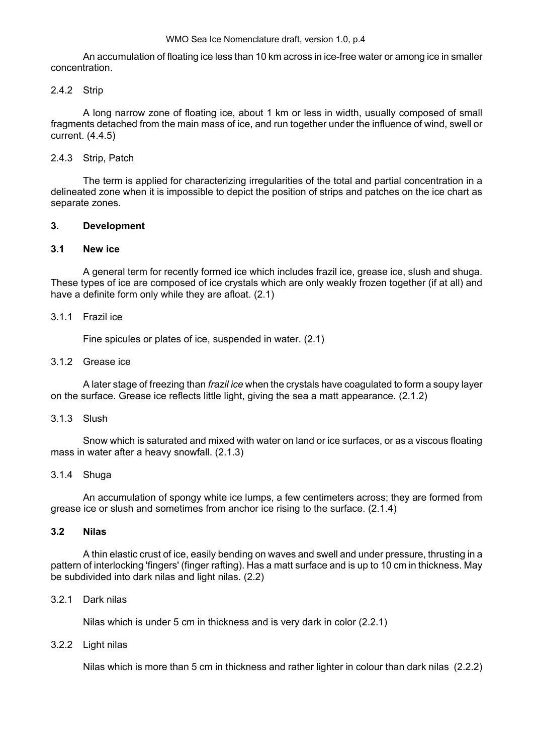<span id="page-9-0"></span>An accumulation of floating ice less than 10 km across in ice-free water or among ice in smaller concentration.

### 2.4.2 Strip

A long narrow zone of floating ice, about 1 km or less in width, usually composed of small fragments detached from the main mass of ice, and run together under the influence of wind, swell or current. (4.4.5)

# 2.4.3 Strip, Patch

The term is applied for characterizing irregularities of the total and partial concentration in a delineated zone when it is impossible to depict the position of strips and patches on the ice chart as separate zones.

# **3. Development**

# **3.1 New ice**

A general term for recently formed ice which includes frazil ice, grease ice, slush and shuga. These types of ice are composed of ice crystals which are only weakly frozen together (if at all) and have a definite form only while they are afloat. (2.1)

### 3.1.1 Frazil ice

Fine spicules or plates of ice, suspended in water. (2.1)

# 3.1.2 Grease ice

A later stage of freezing than *frazil ice* when the crystals have coagulated to form a soupy layer on the surface. Grease ice reflects little light, giving the sea a matt appearance. (2.1.2)

# 3.1.3 Slush

Snow which is saturated and mixed with water on land or ice surfaces, or as a viscous floating mass in water after a heavy snowfall. (2.1.3)

### 3.1.4 Shuga

An accumulation of spongy white ice lumps, a few centimeters across; they are formed from grease ice or slush and sometimes from anchor ice rising to the surface. (2.1.4)

### **3.2 Nilas**

A thin elastic crust of ice, easily bending on waves and swell and under pressure, thrusting in a pattern of interlocking 'fingers' (finger rafting). Has a matt surface and is up to 10 cm in thickness. May be subdivided into dark nilas and light nilas. (2.2)

### 3.2.1 Dark nilas

Nilas which is under 5 cm in thickness and is very dark in color (2.2.1)

### 3.2.2 Light nilas

Nilas which is more than 5 cm in thickness and rather lighter in colour than dark nilas (2.2.2)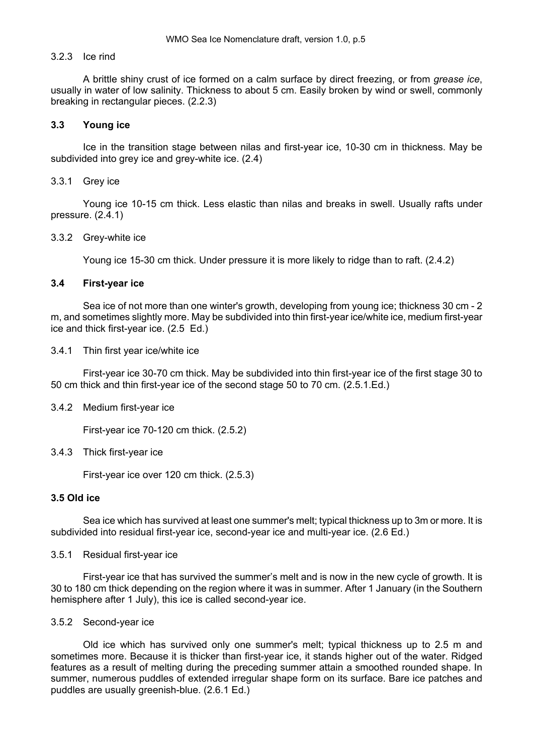#### 3.2.3 Ice rind

A brittle shiny crust of ice formed on a calm surface by direct freezing, or from *grease ice*, usually in water of low salinity. Thickness to about 5 cm. Easily broken by wind or swell, commonly breaking in rectangular pieces. (2.2.3)

#### **3.3 Young ice**

Ice in the transition stage between nilas and first-year ice, 10-30 cm in thickness. May be subdivided into grey ice and grey-white ice. (2.4)

#### 3.3.1 Grey ice

Young ice 10-15 cm thick. Less elastic than nilas and breaks in swell. Usually rafts under pressure. (2.4.1)

#### 3.3.2 Grey-white ice

Young ice 15-30 cm thick. Under pressure it is more likely to ridge than to raft. (2.4.2)

#### **3.4 First-year ice**

Sea ice of not more than one winter's growth, developing from young ice; thickness 30 cm - 2 m, and sometimes slightly more. May be subdivided into thin first-year ice/white ice, medium first-year ice and thick first-year ice. (2.5 Ed.)

3.4.1 Thin first year ice/white ice

First-year ice 30-70 cm thick. May be subdivided into thin first-year ice of the first stage 30 to 50 cm thick and thin first-year ice of the second stage 50 to 70 cm. (2.5.1.Ed.)

#### 3.4.2 Medium first-year ice

First-year ice 70-120 cm thick. (2.5.2)

#### 3.4.3 Thick first-year ice

First-year ice over 120 cm thick. (2.5.3)

#### **3.5 Old ice**

Sea ice which has survived at least one summer's melt; typical thickness up to 3m or more. It is subdivided into residual first-year ice, second-year ice and multi-year ice. (2.6 Ed.)

#### 3.5.1 Residual first-year ice

First-year ice that has survived the summer's melt and is now in the new cycle of growth. It is 30 to 180 cm thick depending on the region where it was in summer. After 1 January (in the Southern hemisphere after 1 July), this ice is called second-year ice.

#### 3.5.2 Second-year ice

Old ice which has survived only one summer's melt; typical thickness up to 2.5 m and sometimes more. Because it is thicker than first-year ice, it stands higher out of the water. Ridged features as a result of melting during the preceding summer attain a smoothed rounded shape. In summer, numerous puddles of extended irregular shape form on its surface. Bare ice patches and puddles аrе usually greenish-blue. (2.6.1 Ed.)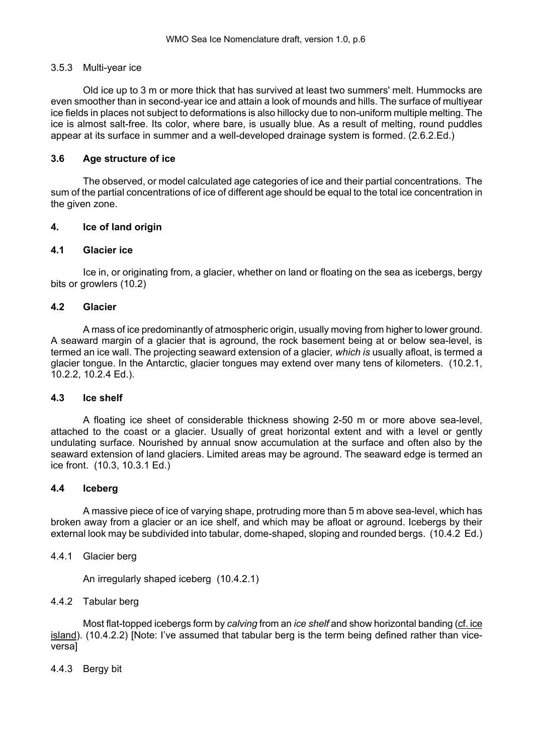#### <span id="page-11-0"></span>3.5.3 Multi-year ice

Old ice up to 3 m or more thick that has survived at least two summers' melt. Hummocks are even smoother than in second-year ice and attain a look of mounds and hills. The surface of multiyear ice fields in places not subject to deformations is also hillocky due to non-uniform multiple melting. The ice is almost salt-free. Its color, where bare, is usually blue. As a result of melting, round puddles appear at its surface in summer and a well-developed drainage system is formed. (2.6.2.Ed.)

### **3.6 Age structure of ice**

The observed, or model calculated age categories of ice and their partial concentrations. The sum of the partial concentrations of ice of different age should be equal to the total ice concentration in the given zone.

### **4. Ice of land origin**

#### **4.1 Glacier ice**

Ice in, or originating from, a glacier, whether on land or floating on the sea as icebergs, bergy bits or growlers (10.2)

#### **4.2 Glacier**

A mass of ice predominantly of atmospheric origin, usually moving from higher to lower ground. A seaward margin of a glacier that is aground, the rock basement being at or below sea-level, is termed an ice wall. The projecting seaward extension of a glacier*, which is* usually afloat, is termed a glacier tongue. In the Antarctic, glacier tongues may extend over many tens of kilometers. (10.2.1, 10.2.2, 10.2.4 Ed.).

#### **4.3 Ice shelf**

A floating ice sheet of considerable thickness showing 2-50 m or more above sea-level, attached to the coast or a glacier. Usually of great horizontal extent and with a level or gently undulating surface. Nourished by annual snow accumulation at the surface and often also by the seaward extension of land glaciers. Limited areas may be aground. The seaward edge is termed an ice front. (10.3, 10.3.1 Ed.)

#### **4.4 Iceberg**

A massive piece of ice of varying shape, protruding more than 5 m above sea-level, which has broken away from a glacier or an ice shelf, and which may be afloat or aground. Icebergs by their external look may be subdivided into tabular, dome-shaped, sloping and rounded bergs. (10.4.2 Ed.)

#### 4.4.1 Glacier berg

An irregularly shaped iceberg (10.4.2.1)

### 4.4.2 Tabular berg

Most flat-topped icebergs form by *calving* from an *ice shelf* and show horizontal banding [\(cf. ice](#page-0-0)  [island](#page-0-0)). (10.4.2.2) [Note: I've assumed that tabular berg is the term being defined rather than viceversa]

#### 4.4.3 Bergy bit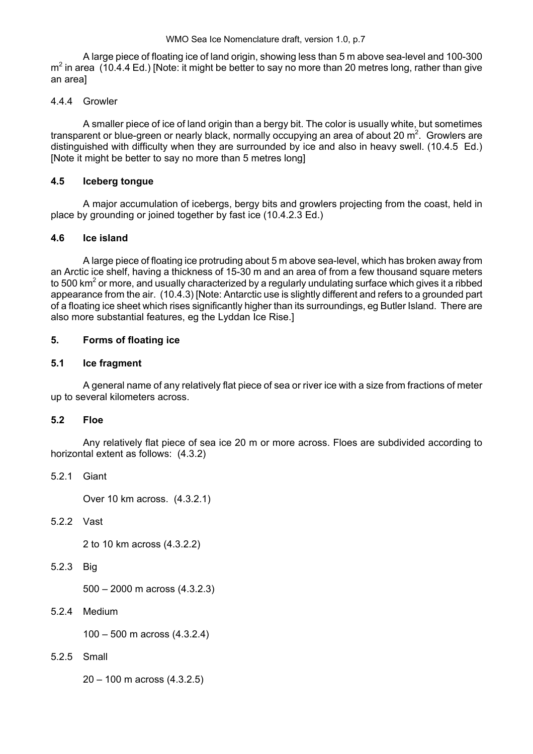<span id="page-12-0"></span>A large piece of floating ice of land origin, showing less than 5 m above sea-level and 100-300  $m^2$  in area (10.4.4 Ed.) [Note: it might be better to say no more than 20 metres long, rather than give an area]

# 4.4.4 Growler

A smaller piece of ice of land origin than a bergy bit. The color is usually white, but sometimes transparent or blue-green or nearly black, normally occupying an area of about 20 m<sup>2</sup>. Growlers are distinguished with difficulty when they are surrounded by ice and also in heavy swell. (10.4.5 Ed.) [Note it might be better to say no more than 5 metres long]

# **4.5 Iceberg tongue**

A major accumulation of icebergs, bergy bits and growlers projecting from the coast, held in place by grounding or joined together by fast ice (10.4.2.3 Ed.)

# **4.6 Ice island**

A large piece of floating ice protruding about 5 m above sea-level, which has broken away from an Arctic ice shelf, having a thickness of 15-30 m and an area of from a few thousand square meters to 500 km<sup>2</sup> or more, and usually characterized by a regularly undulating surface which gives it a ribbed appearance from the air. (10.4.3) [Note: Antarctic use is slightly different and refers to a grounded part of a floating ice sheet which rises significantly higher than its surroundings, eg Butler Island. There are also more substantial features, eg the Lyddan Ice Rise.]

# **5. Forms of floating ice**

# **5.1 Ice fragment**

A general name of any relatively flat piece of sea or river ice with a size from fractions of meter up to several kilometers across.

### **5.2 Floe**

Any relatively flat piece of sea ice 20 m or more across. Floes are subdivided according to horizontal extent as follows: (4.3.2)

5.2.1 Giant

Over 10 km across. (4.3.2.1)

# 5.2.2 Vast

2 to 10 km across (4.3.2.2)

5.2.3 Big

 $500 - 2000$  m across  $(4.3.2.3)$ 

5.2.4 Medium

 $100 - 500$  m across  $(4.3.2.4)$ 

5.2.5 Small

 $20 - 100$  m across (4.3.2.5)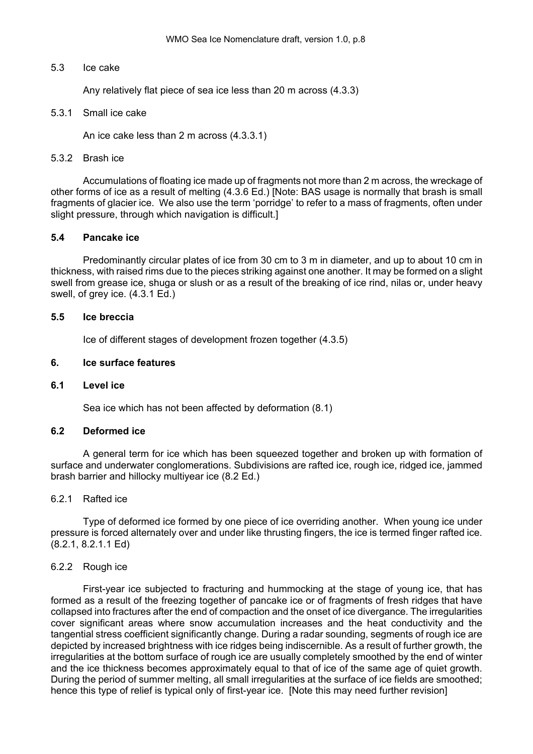#### <span id="page-13-0"></span>5.3 Ice cake

Any relatively flat piece of sea ice less than 20 m across (4.3.3)

#### 5.3.1 Small ice cake

An ice cake less than 2 m across (4.3.3.1)

#### 5.3.2 Brash ice

Accumulations of floating ice made up of fragments not more than 2 m across, the wreckage of other forms of ice as a result of melting (4.3.6 Ed.) [Note: BAS usage is normally that brash is small fragments of glacier ice. We also use the term 'porridge' to refer to a mass of fragments, often under slight pressure, through which navigation is difficult.

### **5.4 Pancake ice**

Predominantly circular plates of ice from 30 cm to 3 m in diameter, and up to about 10 cm in thickness, with raised rims due to the pieces striking against one another. It may be formed on a slight swell from grease ice, shuga or slush or as a result of the breaking of ice rind, nilas or, under heavy swell, of grey ice. (4.3.1 Ed.)

#### **5.5 Ice breccia**

Ice of different stages of development frozen together (4.3.5)

#### **6. Ice surface features**

### **6.1 Level ice**

Sea ice which has not been affected by deformation (8.1)

### **6.2 Deformed ice**

A general term for ice which has been squeezed together and broken up with formation of surface and underwater conglomerations. Subdivisions are rafted ice, rough ice, ridged ice, jammed brash barrier and hillocky multiyear ice (8.2 Ed.)

#### 6.2.1 Rafted ice

Type of deformed ice formed by one piece of ice overriding another. When young ice under pressure is forced alternately over and under like thrusting fingers, the ice is termed finger rafted ice. (8.2.1, 8.2.1.1 Ed)

### 6.2.2 Rough ice

First-year ice subjected to fracturing and hummocking at the stage of young ice, that has formed as a result of the freezing together of pancake ice or of fragments of fresh ridges that have collapsed into fractures after the end of compaction and the onset of ice divergance. The irregularities cover significant areas where snow accumulation increases and the heat conductivity and the tangential stress coefficient significantly change. During a radar sounding, segments of rough ice are depicted by increased brightness with ice ridges being indiscernible. As a result of further growth, the irregularities at the bottom surface of rough ice are usually completely smoothed by the end of winter and the ice thickness becomes approximately equal to that of ice of the same age of quiet growth. During the period of summer melting, all small irregularities at the surface of ice fields are smoothed; hence this type of relief is typical only of first-year ice. [Note this may need further revision]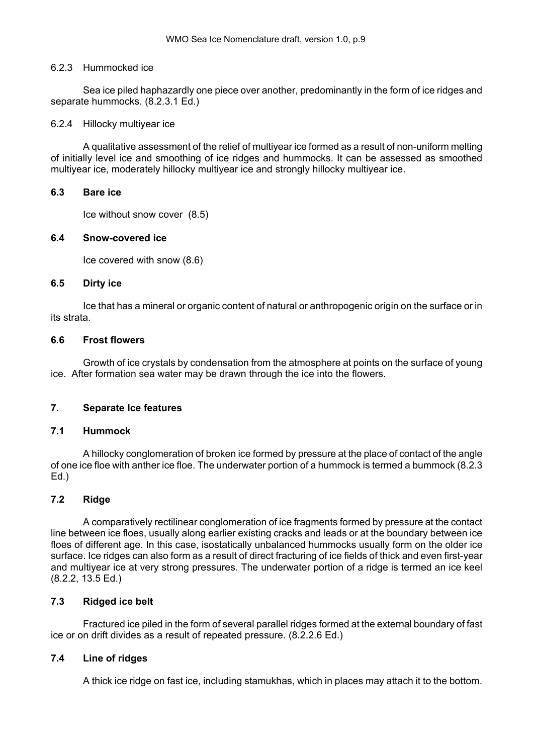### <span id="page-14-0"></span>6.2.3 Hummocked ice

Sea ice piled haphazardly one piece over another, predominantly in the form of ice ridges and separate hummocks. (8.2.3.1 Ed.)

## 6.2.4 Hillocky multiyear ice

A qualitative assessment of the relief of multiyear ice formed as a result of non-uniform melting of initially level ice and smoothing of ice ridges and hummocks. It can be assessed as smoothed multiyear ice, moderately hillocky multiyear ice and strongly hillocky multiyear ice.

### **6.3 Bare ice**

Ice without snow cover (8.5)

# **6.4 Snow-covered ice**

Ice covered with snow (8.6)

### **6.5 Dirty ice**

Ice that has a mineral or organic content of natural or anthropogenic origin on the surface or in its strata.

# **6.6 Frost flowers**

Growth of ice crystals by condensation from the atmosphere at points on the surface of young ice. After formation sea water may be drawn through the ice into the flowers.

# **7. Separate Ice features**

# **7.1 Hummock**

A hillocky conglomeration of broken ice formed by pressure at the place of contact of the angle of one ice floe with anther ice floe. The underwater portion of a hummock is termed a bummock (8.2.3 Ed.)

# **7.2 Ridge**

A comparatively rectilinear conglomeration of ice fragments formed by pressure at the contact line between ice floes, usually along earlier existing cracks and leads or at the boundary between ice floes of different age. In this case, isostatically unbalanced hummocks usually form on the older ice surface. Ice ridges can also form as a result of direct fracturing of ice fields of thick and even first-year and multiyear ice at very strong pressures. The underwater portion of a ridge is termed an ice keel (8.2.2, 13.5 Ed.)

# **7.3 Ridged ice belt**

Fractured ice piled in the form of several parallel ridges formed at the external boundary of fast ice or on drift divides as a result of repeated pressure. (8.2.2.6 Ed.)

# **7.4 Line of ridges**

A thick ice ridge on fast ice, including stamukhas, which in places may attach it to the bottom.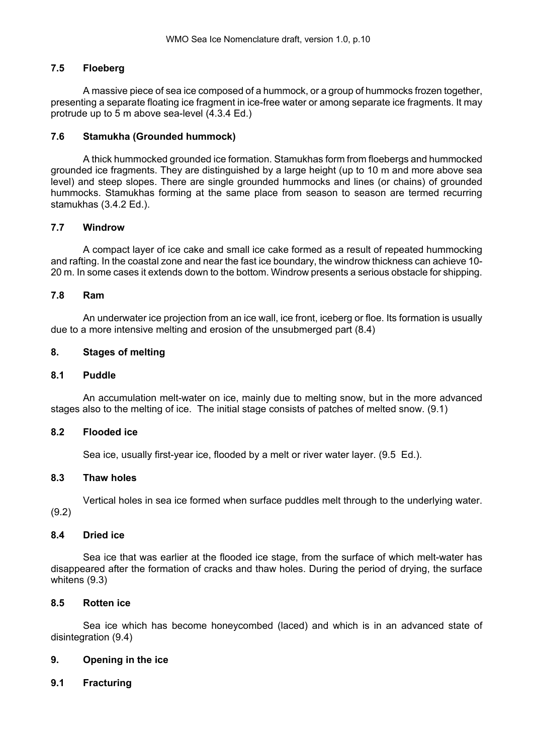#### <span id="page-15-0"></span>**7.5 Floeberg**

A massive piece of sea ice composed of a hummock, or a group of hummocks frozen together, presenting a separate floating ice fragment in ice-free water or among separate ice fragments. It may protrude up to 5 m above sea-level (4.3.4 Ed.)

#### **7.6 Stamukha (Grounded hummock)**

A thick hummocked grounded ice formation. Stamukhas form from floebergs and hummocked grounded ice fragments. They are distinguished by a large height (up to 10 m and more above sea level) and steep slopes. There are single grounded hummocks and lines (or chains) of grounded hummocks. Stamukhas forming at the same place from season to season are termed recurring stamukhas (3.4.2 Ed.).

#### **7.7 Windrow**

A compact layer of ice cake and small ice cake formed as a result of repeated hummocking and rafting. In the coastal zone and near the fast ice boundary, the windrow thickness can achieve 10-20 m. In some cases it extends down to the bottom. Windrow presents a serious obstacle for shipping.

#### **7.8 Ram**

An underwater ice projection from an ice wall, ice front, iceberg or floe. Its formation is usually due to a more intensive melting and erosion of the unsubmerged part (8.4)

#### **8. Stages of melting**

#### **8.1 Puddle**

An accumulation melt-water on ice, mainly due to melting snow, but in the more advanced stages also to the melting of ice. The initial stage consists of patches of melted snow. (9.1)

#### **8.2 Flooded ice**

Sea ice, usually first-year ice, flooded by a melt or river water layer. (9.5 Ed.).

#### **8.3 Thaw holes**

Vertical holes in sea ice formed when surface puddles melt through to the underlying water.

(9.2)

### **8.4 Dried ice**

Sea ice that was earlier at the flooded ice stage, from the surface of which melt-water has disappeared after the formation of cracks and thaw holes. During the period of drying, the surface whitens (9.3)

### **8.5 Rotten ice**

Sea ice which has become honeycombed (laced) and which is in an advanced state of disintegration (9.4)

### **9. Opening in the ice**

# **9.1 Fracturing**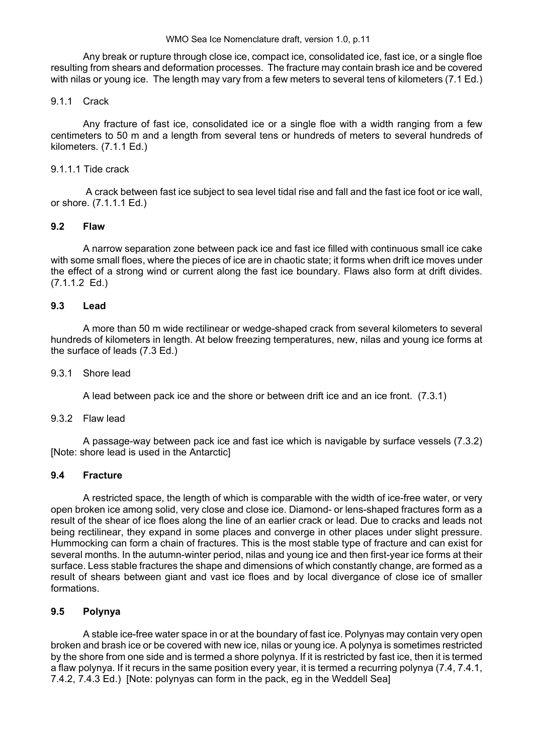Any break or rupture through close ice, compact ice, consolidated ice, fast ice, or a single floe resulting from shears and deformation processes. The fracture may contain brash ice and be covered with nilas or young ice. The length may vary from a few meters to several tens of kilometers (7.1 Ed.)

#### 9.1.1 Crack

Any fracture of fast ice, consolidated ice or a single floe with a width ranging from a few centimeters to 50 m and a length from several tens or hundreds of meters to several hundreds of kilometers. (7.1.1 Ed.)

#### 9.1.1.1 Tide crack

 A crack between fast ice subject to sea level tidal rise and fall and the fast ice foot or ice wall, or shore. (7.1.1.1 Ed.)

#### **9.2 Flaw**

A narrow separation zone between pack ice and fast ice filled with continuous small ice cake with some small floes, where the pieces of ice are in chaotic state; it forms when drift ice moves under the effect of a strong wind or current along the fast ice boundary. Flaws also form at drift divides. (7.1.1.2 Ed.)

#### **9.3 Lead**

A more than 50 m wide rectilinear or wedge-shaped crack from several kilometers to several hundreds of kilometers in length. At below freezing temperatures, new, nilas and young ice forms at the surface of leads (7.3 Ed.)

#### 9.3.1 Shore lead

A lead between pack ice and the shore or between drift ice and an ice front. (7.3.1)

#### 9.3.2 Flaw lead

A passage-way between pack ice and fast ice which is navigable by surface vessels (7.3.2) [Note: shore lead is used in the Antarctic]

#### **9.4 Fracture**

A restricted space, the length of which is comparable with the width of ice-free water, or very open broken ice among solid, very close and close ice. Diamond- or lens-shaped fractures form as a result of the shear of ice floes along the line of an earlier crack or lead. Due to cracks and leads not being rectilinear, they expand in some places and converge in other places under slight pressure. Hummocking can form a chain of fractures. This is the most stable type of fracture and can exist for several months. In the autumn-winter period, nilas and young ice and then first-year ice forms at their surface. Less stable fractures the shape and dimensions of which constantly change, are formed as a result of shears between giant and vast ice floes and by local divergance of close ice of smaller formations.

### **9.5 Polynya**

A stable ice-free water space in or at the boundary of fast ice. Polynyas may contain very open broken and brash ice or be covered with new ice, nilas or young ice. A polynya is sometimes restricted by the shore from one side and is termed a shore polynya. If it is restricted by fast ice, then it is termed a flaw polynya. If it recurs in the same position every year, it is termed a recurring polynya (7.4, 7.4.1, 7.4.2, 7.4.3 Ed.) [Note: polynyas can form in the pack, eg in the Weddell Sea]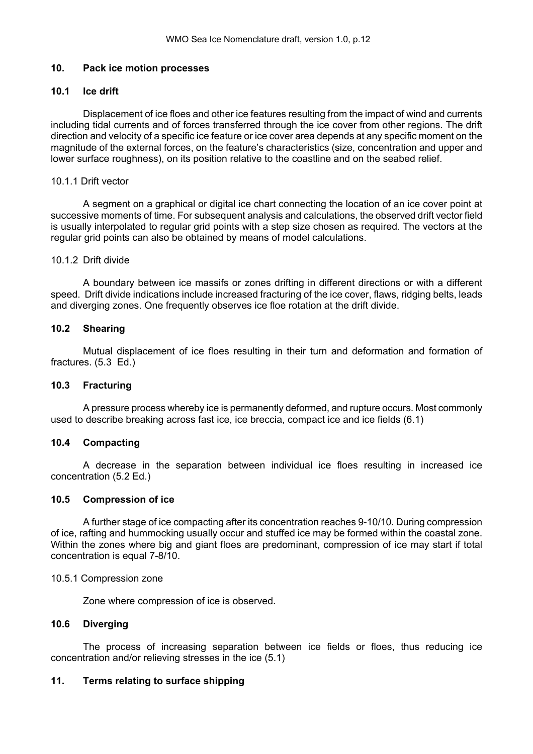#### <span id="page-17-0"></span>**10. Pack ice motion processes**

#### **10.1 Ice drift**

Displacement of ice floes and other ice features resulting from the impact of wind and currents including tidal currents and of forces transferred through the ice cover from other regions. The drift direction and velocity of a specific ice feature or ice cover area depends at any specific moment on the magnitude of the external forces, on the feature's characteristics (size, concentration and upper and lower surface roughness), on its position relative to the coastline and on the seabed relief.

#### 10.1.1 Drift vector

A segment on a graphical or digital ice chart connecting the location of an ice cover point at successive moments of time. For subsequent analysis and calculations, the observed drift vector field is usually interpolated to regular grid points with a step size chosen as required. The vectors at the regular grid points can also be obtained by means of model calculations.

#### 10.1.2 Drift divide

A boundary between ice massifs or zones drifting in different directions or with a different speed. Drift divide indications include increased fracturing of the ice cover, flaws, ridging belts, leads and diverging zones. One frequently observes ice floe rotation at the drift divide.

### **10.2 Shearing**

Mutual displacement of ice floes resulting in their turn and deformation and formation of fractures. (5.3 Ed.)

#### **10.3 Fracturing**

A pressure process whereby ice is permanently deformed, and rupture occurs. Most commonly used to describe breaking across fast ice, ice breccia, compact ice and ice fields (6.1)

#### **10.4 Compacting**

A decrease in the separation between individual ice floes resulting in increased ice concentration (5.2 Ed.)

#### **10.5 Compression of ice**

A further stage of ice compacting after its concentration reaches 9-10/10. During compression of ice, rafting and hummocking usually occur and stuffed ice may be formed within the coastal zone. Within the zones where big and giant floes are predominant, compression of ice may start if total concentration is equal 7-8/10.

#### 10.5.1 Compression zone

Zone where compression of ice is observed.

#### **10.6 Diverging**

The process of increasing separation between ice fields or floes, thus reducing ice concentration and/or relieving stresses in the ice (5.1)

### **11. Terms relating to surface shipping**